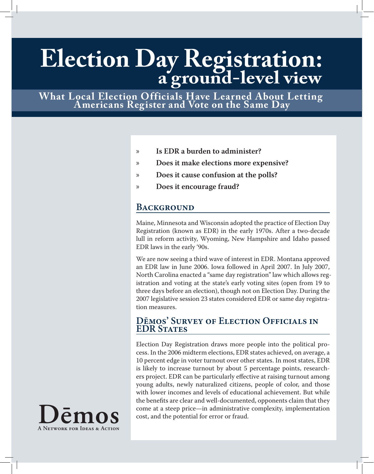# **Election Day Registration: a ground-level view**

**What Local Election Officials Have Learned About Letting Americans Register and Vote on the Same Day**

- **Is EDR a burden to administer?** »
- **Does it make elections more expensive?** »
- **Does it cause confusion at the polls?** »
- **Does it encourage fraud?** »

# **BACKGROUND**

Maine, Minnesota and Wisconsin adopted the practice of Election Day Registration (known as EDR) in the early 1970s. After a two-decade lull in reform activity, Wyoming, New Hampshire and Idaho passed EDR laws in the early '90s.

We are now seeing a third wave of interest in EDR. Montana approved an EDR law in June 2006. Iowa followed in April 2007. In July 2007, North Carolina enacted a "same day registration" law which allows registration and voting at the state's early voting sites (open from 19 to three days before an election), though not on Election Day. During the 2007 legislative session 23 states considered EDR or same day registration measures.

## **Dēmos' Survey of Election Officials in EDR States**

Election Day Registration draws more people into the political process. In the 2006 midterm elections, EDR states achieved, on average, a 10 percent edge in voter turnout over other states. In most states, EDR is likely to increase turnout by about 5 percentage points, researchers project. EDR can be particularly effective at raising turnout among young adults, newly naturalized citizens, people of color, and those with lower incomes and levels of educational achievement. But while the benefits are clear and well-documented, opponents claim that they come at a steep price—in administrative complexity, implementation cost, and the potential for error or fraud.

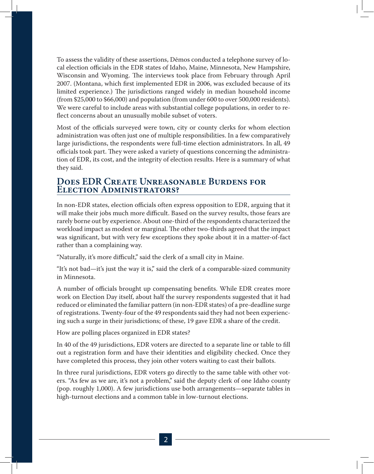To assess the validity of these assertions, Dēmos conducted a telephone survey of local election officials in the EDR states of Idaho, Maine, Minnesota, New Hampshire, Wisconsin and Wyoming. The interviews took place from February through April 2007. (Montana, which first implemented EDR in 2006, was excluded because of its limited experience.) The jurisdictions ranged widely in median household income (from \$25,000 to \$66,000) and population (from under 600 to over 500,000 residents). We were careful to include areas with substantial college populations, in order to reflect concerns about an unusually mobile subset of voters.

Most of the officials surveyed were town, city or county clerks for whom election administration was often just one of multiple responsibilities. In a few comparatively large jurisdictions, the respondents were full-time election administrators. In all, 49 officials took part. They were asked a variety of questions concerning the administration of EDR, its cost, and the integrity of election results. Here is a summary of what they said.

## **Does EDR Create Unreasonable Burdens for Election Administrators?**

In non-EDR states, election officials often express opposition to EDR, arguing that it will make their jobs much more difficult. Based on the survey results, those fears are rarely borne out by experience. About one-third of the respondents characterized the workload impact as modest or marginal. The other two-thirds agreed that the impact was significant, but with very few exceptions they spoke about it in a matter-of-fact rather than a complaining way.

"Naturally, it's more difficult," said the clerk of a small city in Maine.

"It's not bad—it's just the way it is," said the clerk of a comparable-sized community in Minnesota.

A number of officials brought up compensating benefits. While EDR creates more work on Election Day itself, about half the survey respondents suggested that it had reduced or eliminated the familiar pattern (in non-EDR states) of a pre-deadline surge of registrations. Twenty-four of the 49 respondents said they had not been experiencing such a surge in their jurisdictions; of these, 19 gave EDR a share of the credit.

How are polling places organized in EDR states?

In 40 of the 49 jurisdictions, EDR voters are directed to a separate line or table to fill out a registration form and have their identities and eligibility checked. Once they have completed this process, they join other voters waiting to cast their ballots.

In three rural jurisdictions, EDR voters go directly to the same table with other voters. "As few as we are, it's not a problem," said the deputy clerk of one Idaho county (pop. roughly 1,000). A few jurisdictions use both arrangements—separate tables in high-turnout elections and a common table in low-turnout elections.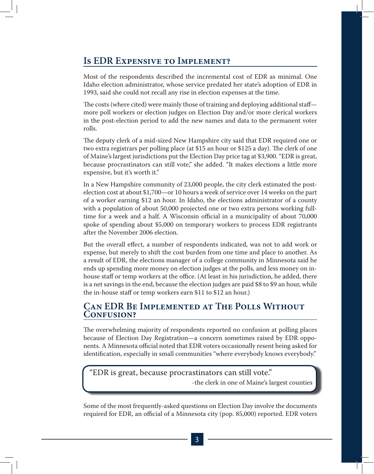# **Is EDR Expensive to Implement?**

Most of the respondents described the incremental cost of EDR as minimal. One Idaho election administrator, whose service predated her state's adoption of EDR in 1993, said she could not recall any rise in election expenses at the time.

The costs (where cited) were mainly those of training and deploying additional staff more poll workers or election judges on Election Day and/or more clerical workers in the post-election period to add the new names and data to the permanent voter rolls.

The deputy clerk of a mid-sized New Hampshire city said that EDR required one or two extra registrars per polling place (at \$15 an hour or \$125 a day). The clerk of one of Maine's largest jurisdictions put the Election Day price tag at \$3,900. "EDR is great, because procrastinators can still vote," she added. "It makes elections a little more expensive, but it's worth it."

In a New Hampshire community of 23,000 people, the city clerk estimated the postelection cost at about \$1,700—or 10 hours a week of service over 14 weeks on the part of a worker earning \$12 an hour. In Idaho, the elections administrator of a county with a population of about 50,000 projected one or two extra persons working fulltime for a week and a half. A Wisconsin official in a municipality of about 70,000 spoke of spending about \$5,000 on temporary workers to process EDR registrants after the November 2006 election.

But the overall effect, a number of respondents indicated, was not to add work or expense, but merely to shift the cost burden from one time and place to another. As a result of EDR, the elections manager of a college community in Minnesota said he ends up spending more money on election judges at the polls, and less money on inhouse staff or temp workers at the office. (At least in his jurisdiction, he added, there is a net savings in the end, because the election judges are paid \$8 to \$9 an hour, while the in-house staff or temp workers earn \$11 to \$12 an hour.)

## **Can EDR Be Implemented at The Polls Without Confusion?**

The overwhelming majority of respondents reported no confusion at polling places because of Election Day Registration—a concern sometimes raised by EDR opponents. A Minnesota official noted that EDR voters occasionally resent being asked for identification, especially in small communities "where everybody knows everybody."

# "EDR is great, because procrastinators can still vote."

-the clerk in one of Maine's largest counties

Some of the most frequently-asked questions on Election Day involve the documents required for EDR, an official of a Minnesota city (pop. 85,000) reported. EDR voters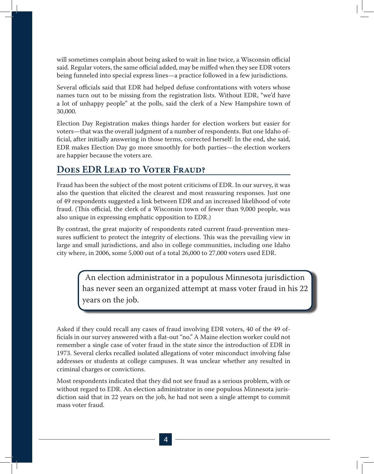will sometimes complain about being asked to wait in line twice, a Wisconsin official said. Regular voters, the same official added, may be miffed when they see EDR voters being funneled into special express lines—a practice followed in a few jurisdictions.

Several officials said that EDR had helped defuse confrontations with voters whose names turn out to be missing from the registration lists. Without EDR, "we'd have a lot of unhappy people" at the polls, said the clerk of a New Hampshire town of 30,000.

Election Day Registration makes things harder for election workers but easier for voters—that was the overall judgment of a number of respondents. But one Idaho official, after initially answering in those terms, corrected herself: In the end, she said, EDR makes Election Day go more smoothly for both parties—the election workers are happier because the voters are.

# **Does EDR Lead to Voter Fraud?**

Fraud has been the subject of the most potent criticisms of EDR. In our survey, it was also the question that elicited the clearest and most reassuring responses. Just one of 49 respondents suggested a link between EDR and an increased likelihood of vote fraud. (This official, the clerk of a Wisconsin town of fewer than 9,000 people, was also unique in expressing emphatic opposition to EDR.)

By contrast, the great majority of respondents rated current fraud-prevention measures sufficient to protect the integrity of elections. This was the prevailing view in large and small jurisdictions, and also in college communities, including one Idaho city where, in 2006, some 5,000 out of a total 26,000 to 27,000 voters used EDR.

> An election administrator in a populous Minnesota jurisdiction has never seen an organized attempt at mass voter fraud in his 22 years on the job.

Asked if they could recall any cases of fraud involving EDR voters, 40 of the 49 officials in our survey answered with a flat-out "no." A Maine election worker could not remember a single case of voter fraud in the state since the introduction of EDR in 1973. Several clerks recalled isolated allegations of voter misconduct involving false addresses or students at college campuses. It was unclear whether any resulted in criminal charges or convictions.

Most respondents indicated that they did not see fraud as a serious problem, with or without regard to EDR. An election administrator in one populous Minnesota jurisdiction said that in 22 years on the job, he had not seen a single attempt to commit mass voter fraud.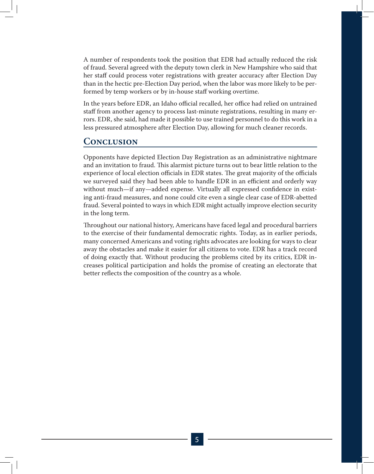A number of respondents took the position that EDR had actually reduced the risk of fraud. Several agreed with the deputy town clerk in New Hampshire who said that her staff could process voter registrations with greater accuracy after Election Day than in the hectic pre-Election Day period, when the labor was more likely to be performed by temp workers or by in-house staff working overtime.

In the years before EDR, an Idaho official recalled, her office had relied on untrained staff from another agency to process last-minute registrations, resulting in many errors. EDR, she said, had made it possible to use trained personnel to do this work in a less pressured atmosphere after Election Day, allowing for much cleaner records.

# **Conclusion**

Opponents have depicted Election Day Registration as an administrative nightmare and an invitation to fraud. This alarmist picture turns out to bear little relation to the experience of local election officials in EDR states. The great majority of the officials we surveyed said they had been able to handle EDR in an efficient and orderly way without much—if any—added expense. Virtually all expressed confidence in existing anti-fraud measures, and none could cite even a single clear case of EDR-abetted fraud. Several pointed to ways in which EDR might actually improve election security in the long term.

Throughout our national history, Americans have faced legal and procedural barriers to the exercise of their fundamental democratic rights. Today, as in earlier periods, many concerned Americans and voting rights advocates are looking for ways to clear away the obstacles and make it easier for all citizens to vote. EDR has a track record of doing exactly that. Without producing the problems cited by its critics, EDR increases political participation and holds the promise of creating an electorate that better reflects the composition of the country as a whole.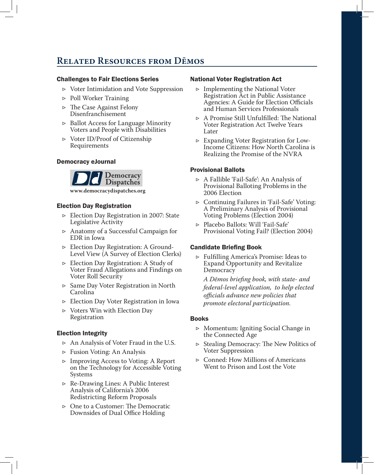# **Related Resources from Dēmos**

### Challenges to Fair Elections Series

- Voter Intimidation and Vote Suppression ▷
- ▷ Poll Worker Training
- The Case Against Felony ▷ Disenfranchisement
- ▷ Ballot Access for Language Minority Voters and People with Disabilities
- Voter ID/Proof of Citizenship ▷ Requirements

#### Democracy eJournal



**www.democracydispatches.org**

## Election Day Registration

- Election Day Registration in 2007: State ▷ Legislative Activity
- Anatomy of a Successful Campaign for ▷ EDR in Iowa
- Election Day Registration: A Ground-▷ Level View (A Survey of Election Clerks)
- Election Day Registration: A Study of ▷ Voter Fraud Allegations and Findings on Voter Roll Security
- Same Day Voter Registration in North ▷ Carolina
- Election Day Voter Registration in Iowa ▷
- ▷ Voters Win with Election Day Registration

## Election Integrity

- $\triangleright$  An Analysis of Voter Fraud in the U.S.
- Fusion Voting: An Analysis ▷
- Improving Access to Voting: A Report ▷ on the Technology for Accessible Voting Systems
- Re-Drawing Lines: A Public Interest ▷ Analysis of California's 2006 Redistricting Reform Proposals
- One to a Customer: The Democratic ▷ Downsides of Dual Office Holding

#### National Voter Registration Act

- ▷ Implementing the National Voter Registration Act in Public Assistance Agencies: A Guide for Election Officials and Human Services Professionals
- A Promise Still Unfulfilled: The National ▷ Voter Registration Act Twelve Years Later
- Expanding Voter Registration for Low-▷ Income Citizens: How North Carolina is Realizing the Promise of the NVRA

## Provisional Ballots

- A Fallible 'Fail-Safe': An Analysis of ▷ Provisional Balloting Problems in the 2006 Election
- Continuing Failures in 'Fail-Safe' Voting: ▷ A Preliminary Analysis of Provisional Voting Problems (Election 2004)
- Placebo Ballots: Will 'Fail-Safe' ▷ Provisional Voting Fail? (Election 2004)

## Candidate Briefing Book

Fulfilling America's Promise: Ideas to ▷ Expand Opportunity and Revitalize **Democracy** 

*A Dēmos briefing book, with state- and federal-level application, to help elected officials advance new policies that promote electoral participation.*

#### Books

- Momentum: Igniting Social Change in ▷ the Connected Age
- Stealing Democracy: The New Politics of ▷ Voter Suppression
- Conned: How Millions of Americans ▷ Went to Prison and Lost the Vote